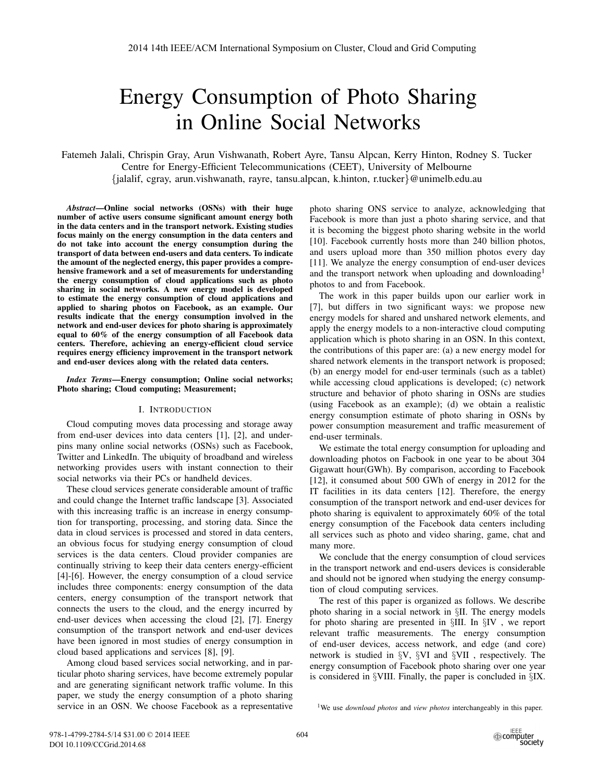# Energy Consumption of Photo Sharing in Online Social Networks

Fatemeh Jalali, Chrispin Gray, Arun Vishwanath, Robert Ayre, Tansu Alpcan, Kerry Hinton, Rodney S. Tucker Centre for Energy-Efficient Telecommunications (CEET), University of Melbourne {jalalif, cgray, arun.vishwanath, rayre, tansu.alpcan, k.hinton, r.tucker}@unimelb.edu.au

*Abstract*—Online social networks (OSNs) with their huge number of active users consume significant amount energy both in the data centers and in the transport network. Existing studies focus mainly on the energy consumption in the data centers and do not take into account the energy consumption during the transport of data between end-users and data centers. To indicate the amount of the neglected energy, this paper provides a comprehensive framework and a set of measurements for understanding the energy consumption of cloud applications such as photo sharing in social networks. A new energy model is developed to estimate the energy consumption of cloud applications and applied to sharing photos on Facebook, as an example. Our results indicate that the energy consumption involved in the network and end-user devices for photo sharing is approximately equal to 60% of the energy consumption of all Facebook data centers. Therefore, achieving an energy-efficient cloud service requires energy efficiency improvement in the transport network and end-user devices along with the related data centers.

*Index Terms*—Energy consumption; Online social networks; Photo sharing; Cloud computing; Measurement;

#### I. INTRODUCTION

Cloud computing moves data processing and storage away from end-user devices into data centers [1], [2], and underpins many online social networks (OSNs) such as Facebook, Twitter and LinkedIn. The ubiquity of broadband and wireless networking provides users with instant connection to their social networks via their PCs or handheld devices.

These cloud services generate considerable amount of traffic and could change the Internet traffic landscape [3]. Associated with this increasing traffic is an increase in energy consumption for transporting, processing, and storing data. Since the data in cloud services is processed and stored in data centers, an obvious focus for studying energy consumption of cloud services is the data centers. Cloud provider companies are continually striving to keep their data centers energy-efficient [4]-[6]. However, the energy consumption of a cloud service includes three components: energy consumption of the data centers, energy consumption of the transport network that connects the users to the cloud, and the energy incurred by end-user devices when accessing the cloud [2], [7]. Energy consumption of the transport network and end-user devices have been ignored in most studies of energy consumption in cloud based applications and services [8], [9].

Among cloud based services social networking, and in particular photo sharing services, have become extremely popular and are generating significant network traffic volume. In this paper, we study the energy consumption of a photo sharing service in an OSN. We choose Facebook as a representative

photo sharing ONS service to analyze, acknowledging that Facebook is more than just a photo sharing service, and that it is becoming the biggest photo sharing website in the world [10]. Facebook currently hosts more than 240 billion photos, and users upload more than 350 million photos every day [11]. We analyze the energy consumption of end-user devices and the transport network when uploading and downloading<sup>1</sup> photos to and from Facebook.

The work in this paper builds upon our earlier work in [7], but differs in two significant ways: we propose new energy models for shared and unshared network elements, and apply the energy models to a non-interactive cloud computing application which is photo sharing in an OSN. In this context, the contributions of this paper are: (a) a new energy model for shared network elements in the transport network is proposed; (b) an energy model for end-user terminals (such as a tablet) while accessing cloud applications is developed; (c) network structure and behavior of photo sharing in OSNs are studies (using Facebook as an example); (d) we obtain a realistic energy consumption estimate of photo sharing in OSNs by power consumption measurement and traffic measurement of end-user terminals.

We estimate the total energy consumption for uploading and downloading photos on Facbook in one year to be about 304 Gigawatt hour(GWh). By comparison, according to Facebook [12], it consumed about 500 GWh of energy in 2012 for the IT facilities in its data centers [12]. Therefore, the energy consumption of the transport network and end-user devices for photo sharing is equivalent to approximately 60% of the total energy consumption of the Facebook data centers including all services such as photo and video sharing, game, chat and many more.

We conclude that the energy consumption of cloud services in the transport network and end-users devices is considerable and should not be ignored when studying the energy consumption of cloud computing services.

The rest of this paper is organized as follows. We describe photo sharing in a social network in §II. The energy models for photo sharing are presented in §III. In §IV , we report relevant traffic measurements. The energy consumption of end-user devices, access network, and edge (and core) network is studied in §V, §VI and §VII , respectively. The energy consumption of Facebook photo sharing over one year is considered in §VIII. Finally, the paper is concluded in §IX.

<sup>1</sup>We use *download photos* and *view photos* interchangeably in this paper.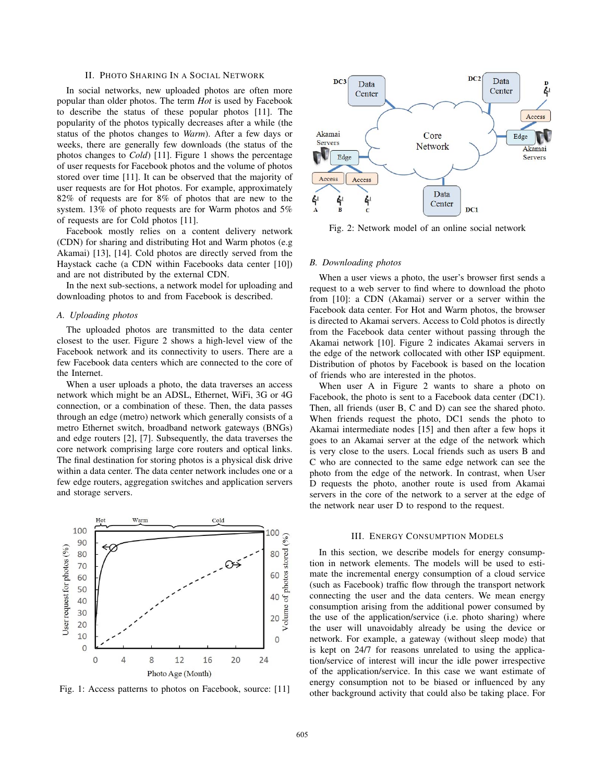## II. PHOTO SHARING IN A SOCIAL NETWORK

In social networks, new uploaded photos are often more popular than older photos. The term *Hot* is used by Facebook to describe the status of these popular photos [11]. The popularity of the photos typically decreases after a while (the status of the photos changes to *Warm*). After a few days or weeks, there are generally few downloads (the status of the photos changes to *Cold*) [11]. Figure 1 shows the percentage of user requests for Facebook photos and the volume of photos stored over time [11]. It can be observed that the majority of user requests are for Hot photos. For example, approximately 82% of requests are for 8% of photos that are new to the system. 13% of photo requests are for Warm photos and 5% of requests are for Cold photos [11].

Facebook mostly relies on a content delivery network (CDN) for sharing and distributing Hot and Warm photos (e.g Akamai) [13], [14]. Cold photos are directly served from the Haystack cache (a CDN within Facebooks data center [10]) and are not distributed by the external CDN.

In the next sub-sections, a network model for uploading and downloading photos to and from Facebook is described.

### *A. Uploading photos*

The uploaded photos are transmitted to the data center closest to the user. Figure 2 shows a high-level view of the Facebook network and its connectivity to users. There are a few Facebook data centers which are connected to the core of the Internet.

When a user uploads a photo, the data traverses an access network which might be an ADSL, Ethernet, WiFi, 3G or 4G connection, or a combination of these. Then, the data passes through an edge (metro) network which generally consists of a metro Ethernet switch, broadband network gateways (BNGs) and edge routers [2], [7]. Subsequently, the data traverses the core network comprising large core routers and optical links. The final destination for storing photos is a physical disk drive within a data center. The data center network includes one or a few edge routers, aggregation switches and application servers and storage servers.



Fig. 1: Access patterns to photos on Facebook, source: [11]



Fig. 2: Network model of an online social network

#### *B. Downloading photos*

When a user views a photo, the user's browser first sends a request to a web server to find where to download the photo from [10]: a CDN (Akamai) server or a server within the Facebook data center. For Hot and Warm photos, the browser is directed to Akamai servers. Access to Cold photos is directly from the Facebook data center without passing through the Akamai network [10]. Figure 2 indicates Akamai servers in the edge of the network collocated with other ISP equipment. Distribution of photos by Facebook is based on the location of friends who are interested in the photos.

When user A in Figure 2 wants to share a photo on Facebook, the photo is sent to a Facebook data center (DC1). Then, all friends (user B, C and D) can see the shared photo. When friends request the photo, DC1 sends the photo to Akamai intermediate nodes [15] and then after a few hops it goes to an Akamai server at the edge of the network which is very close to the users. Local friends such as users B and C who are connected to the same edge network can see the photo from the edge of the network. In contrast, when User D requests the photo, another route is used from Akamai servers in the core of the network to a server at the edge of the network near user D to respond to the request.

#### III. ENERGY CONSUMPTION MODELS

In this section, we describe models for energy consumption in network elements. The models will be used to estimate the incremental energy consumption of a cloud service (such as Facebook) traffic flow through the transport network connecting the user and the data centers. We mean energy consumption arising from the additional power consumed by the use of the application/service (i.e. photo sharing) where the user will unavoidably already be using the device or network. For example, a gateway (without sleep mode) that is kept on 24/7 for reasons unrelated to using the application/service of interest will incur the idle power irrespective of the application/service. In this case we want estimate of energy consumption not to be biased or influenced by any other background activity that could also be taking place. For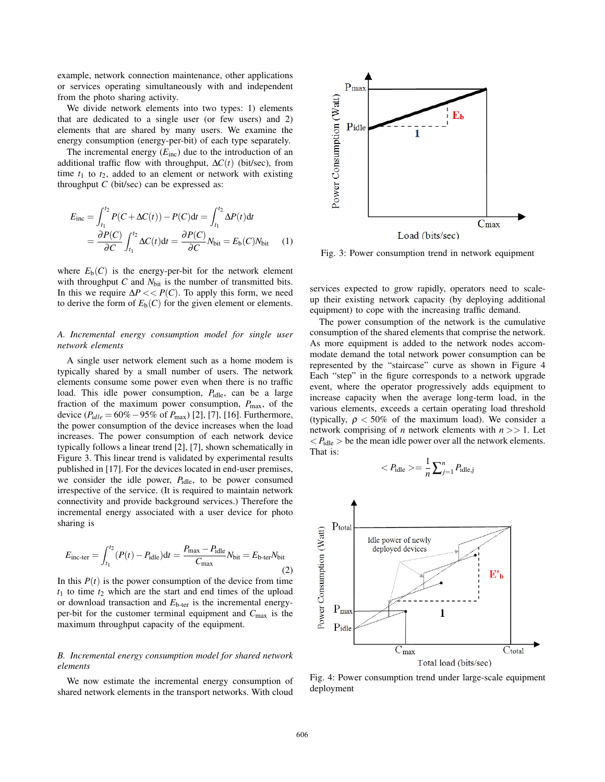example, network connection maintenance, other applications or services operating simultaneously with and independent from the photo sharing activity.

We divide network elements into two types: 1) elements that are dedicated to a single user (or few users) and 2) elements that are shared by many users. We examine the energy consumption (energy-per-bit) of each type separately.

The incremental energy  $(E_{\text{inc}})$  due to the introduction of an additional traffic flow with throughput,  $\Delta C(t)$  (bit/sec), from time  $t_1$  to  $t_2$ , added to an element or network with existing throughput *C* (bit/sec) can be expressed as:

$$
E_{\text{inc}} = \int_{t_1}^{t_2} P(C + \Delta C(t)) - P(C) dt = \int_{t_1}^{t_2} \Delta P(t) dt
$$
  
= 
$$
\frac{\partial P(C)}{\partial C} \int_{t_1}^{t_2} \Delta C(t) dt = \frac{\partial P(C)}{\partial C} N_{\text{bit}} = E_b(C) N_{\text{bit}}
$$
 (1)

where  $E_b(C)$  is the energy-per-bit for the network element with throughput  $C$  and  $N_{\text{bit}}$  is the number of transmitted bits. In this we require  $\Delta P \ll P(C)$ . To apply this form, we need to derive the form of  $E_b(C)$  for the given element or elements.

## *A. Incremental energy consumption model for single user network elements*

A single user network element such as a home modem is typically shared by a small number of users. The network elements consume some power even when there is no traffic load. This idle power consumption, *P*<sub>idle</sub>, can be a large fraction of the maximum power consumption,  $P_{\text{max}}$ , of the device (*Pidle* = 60%−95% of *P*max) [2], [7], [16]. Furthermore, the power consumption of the device increases when the load increases. The power consumption of each network device typically follows a linear trend [2], [7], shown schematically in Figure 3. This linear trend is validated by experimental results published in [17]. For the devices located in end-user premises, we consider the idle power,  $P_{idle}$ , to be power consumed irrespective of the service. (It is required to maintain network connectivity and provide background services.) Therefore the incremental energy associated with a user device for photo sharing is

$$
E_{\text{inc-ter}} = \int_{t_1}^{t_2} (P(t) - P_{\text{idle}}) dt = \frac{P_{\text{max}} - P_{\text{idle}}}{C_{\text{max}}} N_{\text{bit}} = E_{\text{b-ter}} N_{\text{bit}}
$$
(2)

In this  $P(t)$  is the power consumption of the device from time  $t_1$  to time  $t_2$  which are the start and end times of the upload or download transaction and *E*b-ter is the incremental energyper-bit for the customer terminal equipment and *C*max is the maximum throughput capacity of the equipment.

# *B. Incremental energy consumption model for shared network elements*

We now estimate the incremental energy consumption of shared network elements in the transport networks. With cloud



Fig. 3: Power consumption trend in network equipment

services expected to grow rapidly, operators need to scaleup their existing network capacity (by deploying additional equipment) to cope with the increasing traffic demand.

The power consumption of the network is the cumulative consumption of the shared elements that comprise the network. As more equipment is added to the network nodes accommodate demand the total network power consumption can be represented by the "staircase" curve as shown in Figure 4 Each "step" in the figure corresponds to a network upgrade event, where the operator progressively adds equipment to increase capacity when the average long-term load, in the various elements, exceeds a certain operating load threshold (typically,  $\rho < 50\%$  of the maximum load). We consider a network comprising of *n* network elements with *n* >> 1. Let  $P_{\text{idle}}$  > be the mean idle power over all the network elements. That is:

$$
\langle P_{\text{idle}} \rangle = \frac{1}{n} \sum_{j=1}^{n} P_{\text{idle},j}
$$



Fig. 4: Power consumption trend under large-scale equipment deployment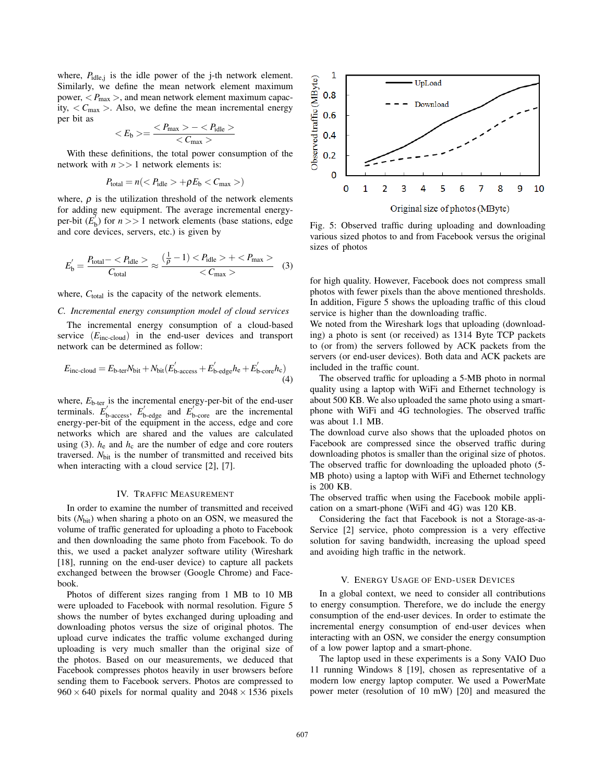where,  $P_{idle,j}$  is the idle power of the j-th network element. Similarly, we define the mean network element maximum power,  $\langle P_{\text{max}} \rangle$ , and mean network element maximum capacity,  $\langle C_{\text{max}} \rangle$ . Also, we define the mean incremental energy per bit as

$$
\langle E_{\rm b}\rangle = \frac{\langle P_{\rm max}\rangle - \langle P_{\rm idle}\rangle}{\langle C_{\rm max}\rangle}
$$

With these definitions, the total power consumption of the network with *n* >> 1 network elements is:

$$
P_{\text{total}} = n \left( \langle P_{\text{idle}} \rangle + \rho E_{\text{b}} \langle C_{\text{max}} \rangle \right)
$$

where,  $\rho$  is the utilization threshold of the network elements for adding new equipment. The average incremental energyper-bit  $(E_b^{\prime})$  for  $n >> 1$  network elements (base stations, edge and core devices, servers, etc.) is given by

$$
E'_{\rm b} = \frac{P_{\rm total} -  + }{ (3)
$$

where, C<sub>total</sub> is the capacity of the network elements.

## *C. Incremental energy consumption model of cloud services*

The incremental energy consumption of a cloud-based service (*E*inc-cloud) in the end-user devices and transport network can be determined as follow:

$$
E_{\text{inc-coloud}} = E_{\text{b-ter}} N_{\text{bit}} + N_{\text{bit}} (E_{\text{b-access}}' + E_{\text{b-edge}}' h_{\text{e}} + E_{\text{b-core}}' h_{\text{c}})
$$
\n(4)

where,  $E_{\text{b-ter}}$  is the incremental energy-per-bit of the end-user terminals.  $E'_{\text{b-access}}$ ,  $E'_{\text{b-edge}}$  and  $E'_{\text{b-core}}$  are the incremental energy-per-bit of the equipment in the access, edge and core networks which are shared and the values are calculated using (3).  $h_e$  and  $h_c$  are the number of edge and core routers traversed. *N*<sub>bit</sub> is the number of transmitted and received bits when interacting with a cloud service [2], [7].

## IV. TRAFFIC MEASUREMENT

In order to examine the number of transmitted and received bits ( $N<sub>bit</sub>$ ) when sharing a photo on an OSN, we measured the volume of traffic generated for uploading a photo to Facebook and then downloading the same photo from Facebook. To do this, we used a packet analyzer software utility (Wireshark [18], running on the end-user device) to capture all packets exchanged between the browser (Google Chrome) and Facebook.

Photos of different sizes ranging from 1 MB to 10 MB were uploaded to Facebook with normal resolution. Figure 5 shows the number of bytes exchanged during uploading and downloading photos versus the size of original photos. The upload curve indicates the traffic volume exchanged during uploading is very much smaller than the original size of the photos. Based on our measurements, we deduced that Facebook compresses photos heavily in user browsers before sending them to Facebook servers. Photos are compressed to  $960 \times 640$  pixels for normal quality and  $2048 \times 1536$  pixels



Fig. 5: Observed traffic during uploading and downloading various sized photos to and from Facebook versus the original sizes of photos

for high quality. However, Facebook does not compress small photos with fewer pixels than the above mentioned thresholds. In addition, Figure 5 shows the uploading traffic of this cloud service is higher than the downloading traffic.

We noted from the Wireshark logs that uploading (downloading) a photo is sent (or received) as 1314 Byte TCP packets to (or from) the servers followed by ACK packets from the servers (or end-user devices). Both data and ACK packets are included in the traffic count.

The observed traffic for uploading a 5-MB photo in normal quality using a laptop with WiFi and Ethernet technology is about 500 KB. We also uploaded the same photo using a smartphone with WiFi and 4G technologies. The observed traffic was about 1.1 MB.

The download curve also shows that the uploaded photos on Facebook are compressed since the observed traffic during downloading photos is smaller than the original size of photos. The observed traffic for downloading the uploaded photo (5- MB photo) using a laptop with WiFi and Ethernet technology is 200 KB.

The observed traffic when using the Facebook mobile application on a smart-phone (WiFi and 4G) was 120 KB.

Considering the fact that Facebook is not a Storage-as-a-Service [2] service, photo compression is a very effective solution for saving bandwidth, increasing the upload speed and avoiding high traffic in the network.

## V. ENERGY USAGE OF END-USER DEVICES

In a global context, we need to consider all contributions to energy consumption. Therefore, we do include the energy consumption of the end-user devices. In order to estimate the incremental energy consumption of end-user devices when interacting with an OSN, we consider the energy consumption of a low power laptop and a smart-phone.

The laptop used in these experiments is a Sony VAIO Duo 11 running Windows 8 [19], chosen as representative of a modern low energy laptop computer. We used a PowerMate power meter (resolution of 10 mW) [20] and measured the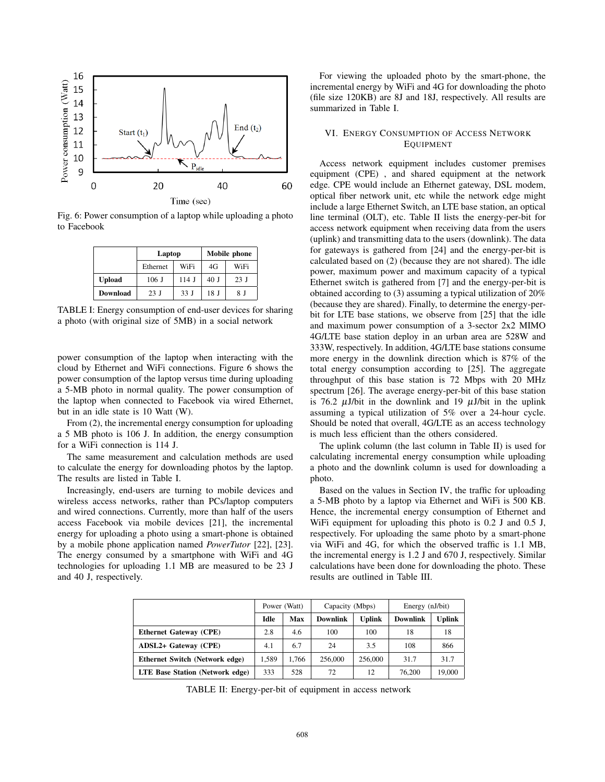

Fig. 6: Power consumption of a laptop while uploading a photo to Facebook

|               | Laptop   |         | Mobile phone    |      |  |
|---------------|----------|---------|-----------------|------|--|
|               | Ethernet | WiFi    | 4G              | WiFi |  |
| <b>Upload</b> | $106$ J  | $114$ J | 40 J            | 23J  |  |
| Download      | 23 I     | 33 J    | 18 <sub>J</sub> | 8 I  |  |

TABLE I: Energy consumption of end-user devices for sharing a photo (with original size of 5MB) in a social network

power consumption of the laptop when interacting with the cloud by Ethernet and WiFi connections. Figure 6 shows the power consumption of the laptop versus time during uploading a 5-MB photo in normal quality. The power consumption of the laptop when connected to Facebook via wired Ethernet, but in an idle state is 10 Watt (W).

From (2), the incremental energy consumption for uploading a 5 MB photo is 106 J. In addition, the energy consumption for a WiFi connection is 114 J.

The same measurement and calculation methods are used to calculate the energy for downloading photos by the laptop. The results are listed in Table I.

Increasingly, end-users are turning to mobile devices and wireless access networks, rather than PCs/laptop computers and wired connections. Currently, more than half of the users access Facebook via mobile devices [21], the incremental energy for uploading a photo using a smart-phone is obtained by a mobile phone application named *PowerTutor* [22], [23]. The energy consumed by a smartphone with WiFi and 4G technologies for uploading 1.1 MB are measured to be 23 J and 40 J, respectively.

For viewing the uploaded photo by the smart-phone, the incremental energy by WiFi and 4G for downloading the photo (file size 120KB) are 8J and 18J, respectively. All results are summarized in Table I.

# VI. ENERGY CONSUMPTION OF ACCESS NETWORK EQUIPMENT

Access network equipment includes customer premises equipment (CPE) , and shared equipment at the network edge. CPE would include an Ethernet gateway, DSL modem, optical fiber network unit, etc while the network edge might include a large Ethernet Switch, an LTE base station, an optical line terminal (OLT), etc. Table II lists the energy-per-bit for access network equipment when receiving data from the users (uplink) and transmitting data to the users (downlink). The data for gateways is gathered from [24] and the energy-per-bit is calculated based on (2) (because they are not shared). The idle power, maximum power and maximum capacity of a typical Ethernet switch is gathered from [7] and the energy-per-bit is obtained according to (3) assuming a typical utilization of 20% (because they are shared). Finally, to determine the energy-perbit for LTE base stations, we observe from [25] that the idle and maximum power consumption of a 3-sector 2x2 MIMO 4G/LTE base station deploy in an urban area are 528W and 333W, respectively. In addition, 4G/LTE base stations consume more energy in the downlink direction which is 87% of the total energy consumption according to [25]. The aggregate throughput of this base station is 72 Mbps with 20 MHz spectrum [26]. The average energy-per-bit of this base station is 76.2  $\mu$ J/bit in the downlink and 19  $\mu$ J/bit in the uplink assuming a typical utilization of 5% over a 24-hour cycle. Should be noted that overall, 4G/LTE as an access technology is much less efficient than the others considered.

The uplink column (the last column in Table II) is used for calculating incremental energy consumption while uploading a photo and the downlink column is used for downloading a photo.

Based on the values in Section IV, the traffic for uploading a 5-MB photo by a laptop via Ethernet and WiFi is 500 KB. Hence, the incremental energy consumption of Ethernet and WiFi equipment for uploading this photo is 0.2 J and 0.5 J, respectively. For uploading the same photo by a smart-phone via WiFi and 4G, for which the observed traffic is 1.1 MB, the incremental energy is 1.2 J and 670 J, respectively. Similar calculations have been done for downloading the photo. These results are outlined in Table III.

|                                 | Power (Watt) |       | Capacity (Mbps) |               | Energy (nJ/bit) |               |
|---------------------------------|--------------|-------|-----------------|---------------|-----------------|---------------|
|                                 | <b>Idle</b>  | Max   | <b>Downlink</b> | <b>Uplink</b> | <b>Downlink</b> | <b>Uplink</b> |
| <b>Ethernet Gateway (CPE)</b>   | 2.8          | 4.6   | 100             | 100           | 18              | 18            |
| ADSL2+ Gateway (CPE)            | 4.1          | 6.7   | 24              | 3.5           | 108             | 866           |
| Ethernet Switch (Network edge)  | 1.589        | 1.766 | 256,000         | 256,000       | 31.7            | 31.7          |
| LTE Base Station (Network edge) | 333          | 528   | 72              | 12            | 76,200          | 19,000        |

TABLE II: Energy-per-bit of equipment in access network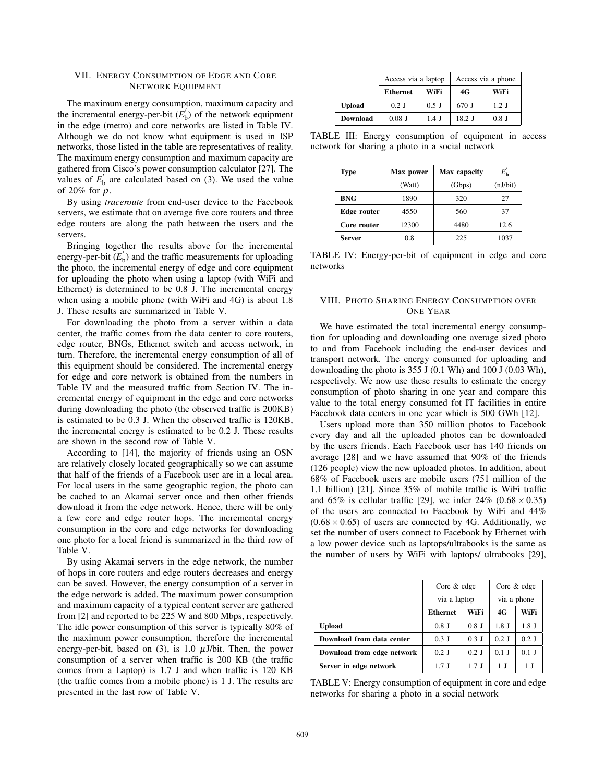## VII. ENERGY CONSUMPTION OF EDGE AND CORE NETWORK EQUIPMENT

The maximum energy consumption, maximum capacity and the incremental energy-per-bit  $(\vec{E}_b)$  of the network equipment in the edge (metro) and core networks are listed in Table IV. Although we do not know what equipment is used in ISP networks, those listed in the table are representatives of reality. The maximum energy consumption and maximum capacity are gathered from Cisco's power consumption calculator [27]. The values of  $E'_{\rm b}$  are calculated based on (3). We used the value of 20% for  $\rho$ .

By using *traceroute* from end-user device to the Facebook servers, we estimate that on average five core routers and three edge routers are along the path between the users and the servers.

Bringing together the results above for the incremental energy-per-bit  $(E'_{b})$  and the traffic measurements for uploading the photo, the incremental energy of edge and core equipment for uploading the photo when using a laptop (with WiFi and Ethernet) is determined to be 0.8 J. The incremental energy when using a mobile phone (with WiFi and 4G) is about 1.8 J. These results are summarized in Table V.

For downloading the photo from a server within a data center, the traffic comes from the data center to core routers, edge router, BNGs, Ethernet switch and access network, in turn. Therefore, the incremental energy consumption of all of this equipment should be considered. The incremental energy for edge and core network is obtained from the numbers in Table IV and the measured traffic from Section IV. The incremental energy of equipment in the edge and core networks during downloading the photo (the observed traffic is 200KB) is estimated to be 0.3 J. When the observed traffic is 120KB, the incremental energy is estimated to be 0.2 J. These results are shown in the second row of Table V.

According to [14], the majority of friends using an OSN are relatively closely located geographically so we can assume that half of the friends of a Facebook user are in a local area. For local users in the same geographic region, the photo can be cached to an Akamai server once and then other friends download it from the edge network. Hence, there will be only a few core and edge router hops. The incremental energy consumption in the core and edge networks for downloading one photo for a local friend is summarized in the third row of Table V.

By using Akamai servers in the edge network, the number of hops in core routers and edge routers decreases and energy can be saved. However, the energy consumption of a server in the edge network is added. The maximum power consumption and maximum capacity of a typical content server are gathered from [2] and reported to be 225 W and 800 Mbps, respectively. The idle power consumption of this server is typically 80% of the maximum power consumption, therefore the incremental energy-per-bit, based on (3), is 1.0  $\mu$ J/bit. Then, the power consumption of a server when traffic is 200 KB (the traffic comes from a Laptop) is 1.7 J and when traffic is 120 KB (the traffic comes from a mobile phone) is 1 J. The results are presented in the last row of Table V.

|                 | Access via a laptop |         | Access via a phone |         |  |
|-----------------|---------------------|---------|--------------------|---------|--|
|                 | <b>Ethernet</b>     | WiFi    | 4G                 | WiFi    |  |
| <b>Upload</b>   | $0.2$ J             | $0.5$ J | 670 J              | $1.2$ J |  |
| <b>Download</b> | $0.08$ J            | $1.4$ J | $18.2$ J           | $0.8$ J |  |

TABLE III: Energy consumption of equipment in access network for sharing a photo in a social network

| Type          | Max power | Max capacity | $E_{\bf h}$ |  |
|---------------|-----------|--------------|-------------|--|
|               | (Watt)    | (Gbps)       | (nJ/bit)    |  |
| <b>BNG</b>    | 1890      | 320          | 27          |  |
| Edge router   | 4550      | 560          | 37          |  |
| Core router   | 12300     | 4480         | 12.6        |  |
| <b>Server</b> | 0.8       | 225          | 1037        |  |

TABLE IV: Energy-per-bit of equipment in edge and core networks

# VIII. PHOTO SHARING ENERGY CONSUMPTION OVER ONE YEAR

We have estimated the total incremental energy consumption for uploading and downloading one average sized photo to and from Facebook including the end-user devices and transport network. The energy consumed for uploading and downloading the photo is 355 J (0.1 Wh) and 100 J (0.03 Wh), respectively. We now use these results to estimate the energy consumption of photo sharing in one year and compare this value to the total energy consumed fot IT facilities in entire Facebook data centers in one year which is 500 GWh [12].

Users upload more than 350 million photos to Facebook every day and all the uploaded photos can be downloaded by the users friends. Each Facebook user has 140 friends on average [28] and we have assumed that 90% of the friends (126 people) view the new uploaded photos. In addition, about 68% of Facebook users are mobile users (751 million of the 1.1 billion) [21]. Since 35% of mobile traffic is WiFi traffic and 65% is cellular traffic [29], we infer  $24\%$  (0.68  $\times$  0.35) of the users are connected to Facebook by WiFi and 44%  $(0.68 \times 0.65)$  of users are connected by 4G. Additionally, we set the number of users connect to Facebook by Ethernet with a low power device such as laptops/ultrabooks is the same as the number of users by WiFi with laptops/ ultrabooks [29],

|                            | Core & edge<br>via a laptop |         | Core & edge |         |
|----------------------------|-----------------------------|---------|-------------|---------|
|                            |                             |         | via a phone |         |
|                            | <b>Ethernet</b>             | WiFi    | 4G          | WiFi    |
| <b>Upload</b>              | $0.8$ J                     | $0.8$ J | $1.8$ J     | $1.8$ J |
| Download from data center  | $0.3$ J                     | $0.3$ J | $0.2$ J     | $0.2$ J |
| Download from edge network | $0.2$ J                     | $0.2$ J | $0.1$ J     | $0.1$ J |
| Server in edge network     | $1.7$ J                     | $1.7$ J | 1 I         | 1 I     |

TABLE V: Energy consumption of equipment in core and edge networks for sharing a photo in a social network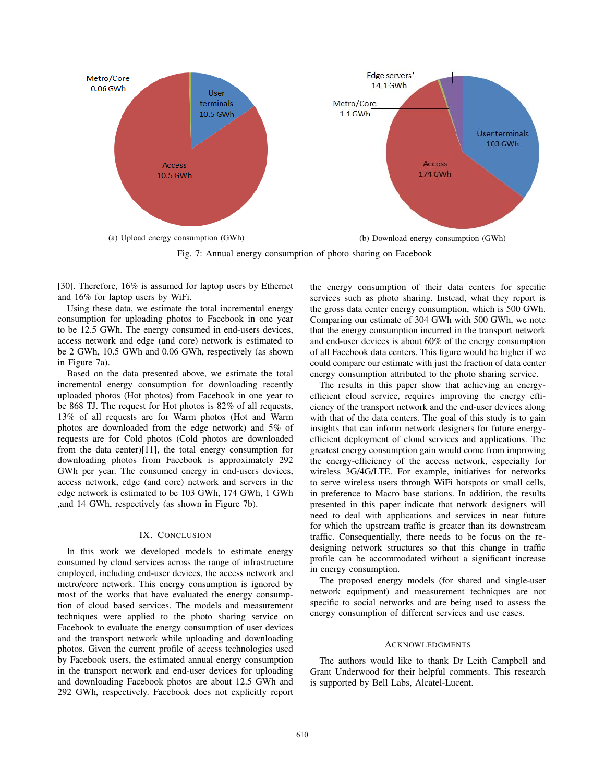

Fig. 7: Annual energy consumption of photo sharing on Facebook

[30]. Therefore, 16% is assumed for laptop users by Ethernet and 16% for laptop users by WiFi.

Using these data, we estimate the total incremental energy consumption for uploading photos to Facebook in one year to be 12.5 GWh. The energy consumed in end-users devices, access network and edge (and core) network is estimated to be 2 GWh, 10.5 GWh and 0.06 GWh, respectively (as shown in Figure 7a).

Based on the data presented above, we estimate the total incremental energy consumption for downloading recently uploaded photos (Hot photos) from Facebook in one year to be 868 TJ. The request for Hot photos is 82% of all requests, 13% of all requests are for Warm photos (Hot and Warm photos are downloaded from the edge network) and 5% of requests are for Cold photos (Cold photos are downloaded from the data center)[11], the total energy consumption for downloading photos from Facebook is approximately 292 GWh per year. The consumed energy in end-users devices, access network, edge (and core) network and servers in the edge network is estimated to be 103 GWh, 174 GWh, 1 GWh ,and 14 GWh, respectively (as shown in Figure 7b).

## IX. CONCLUSION

In this work we developed models to estimate energy consumed by cloud services across the range of infrastructure employed, including end-user devices, the access network and metro/core network. This energy consumption is ignored by most of the works that have evaluated the energy consumption of cloud based services. The models and measurement techniques were applied to the photo sharing service on Facebook to evaluate the energy consumption of user devices and the transport network while uploading and downloading photos. Given the current profile of access technologies used by Facebook users, the estimated annual energy consumption in the transport network and end-user devices for uploading and downloading Facebook photos are about 12.5 GWh and 292 GWh, respectively. Facebook does not explicitly report

the energy consumption of their data centers for specific services such as photo sharing. Instead, what they report is the gross data center energy consumption, which is 500 GWh. Comparing our estimate of 304 GWh with 500 GWh, we note that the energy consumption incurred in the transport network and end-user devices is about 60% of the energy consumption of all Facebook data centers. This figure would be higher if we could compare our estimate with just the fraction of data center energy consumption attributed to the photo sharing service.

The results in this paper show that achieving an energyefficient cloud service, requires improving the energy efficiency of the transport network and the end-user devices along with that of the data centers. The goal of this study is to gain insights that can inform network designers for future energyefficient deployment of cloud services and applications. The greatest energy consumption gain would come from improving the energy-efficiency of the access network, especially for wireless 3G/4G/LTE. For example, initiatives for networks to serve wireless users through WiFi hotspots or small cells, in preference to Macro base stations. In addition, the results presented in this paper indicate that network designers will need to deal with applications and services in near future for which the upstream traffic is greater than its downstream traffic. Consequentially, there needs to be focus on the redesigning network structures so that this change in traffic profile can be accommodated without a significant increase in energy consumption.

The proposed energy models (for shared and single-user network equipment) and measurement techniques are not specific to social networks and are being used to assess the energy consumption of different services and use cases.

## **ACKNOWLEDGMENTS**

The authors would like to thank Dr Leith Campbell and Grant Underwood for their helpful comments. This research is supported by Bell Labs, Alcatel-Lucent.